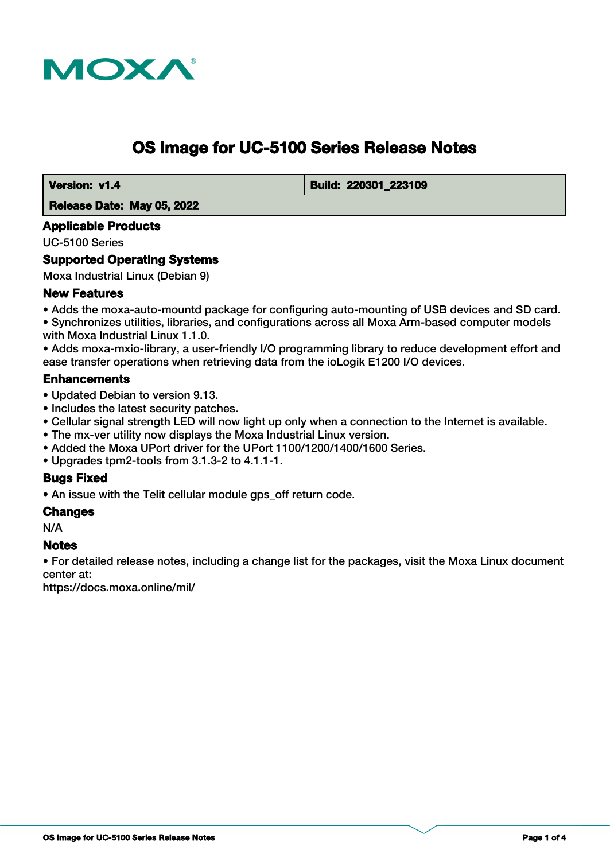

# **OS Image for UC-5100 Series Release Notes**

 **Version: v1.4 Build: 220301 223109** 

 **Release Date: May 05, 2022**

# **Applicable Products**

UC-5100 Series

# **Supported Operating Systems**

Moxa Industrial Linux (Debian 9)

# **New Features**

• Adds the moxa-auto-mountd package for configuring auto-mounting of USB devices and SD card. • Synchronizes utilities, libraries, and configurations across all Moxa Arm-based computer models with Moxa Industrial Linux 1.1.0.

• Adds moxa-mxio-library, a user-friendly I/O programming library to reduce development effort and ease transfer operations when retrieving data from the ioLogik E1200 I/O devices.

# **Enhancements**

- Updated Debian to version 9.13.
- Includes the latest security patches.
- Cellular signal strength LED will now light up only when a connection to the Internet is available.
- The mx-ver utility now displays the Moxa Industrial Linux version.
- Added the Moxa UPort driver for the UPort 1100/1200/1400/1600 Series.
- Upgrades tpm2-tools from 3.1.3-2 to 4.1.1-1.

# **Bugs Fixed**

• An issue with the Telit cellular module gps\_off return code.

## **Changes**

N/A

# **Notes**

• For detailed release notes, including a change list for the packages, visit the Moxa Linux document center at:

https://docs.moxa.online/mil/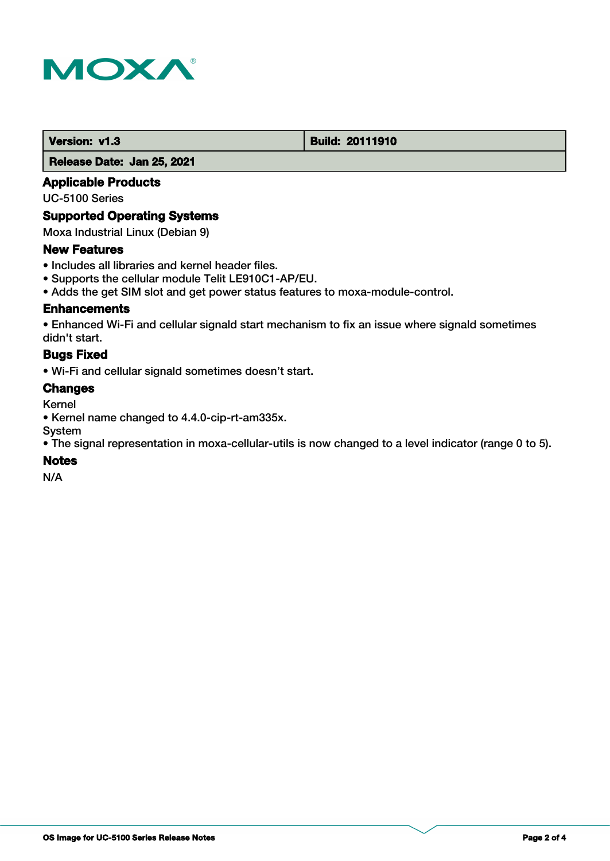

## **Version: v1.3 Build: 20111910**

 **Release Date: Jan 25, 2021**

# **Applicable Products**

UC-5100 Series

## **Supported Operating Systems**

Moxa Industrial Linux (Debian 9)

## **New Features**

- Includes all libraries and kernel header files.
- Supports the cellular module Telit LE910C1-AP/EU.
- Adds the get SIM slot and get power status features to moxa-module-control.

# **Enhancements**

• Enhanced Wi-Fi and cellular signald start mechanism to fix an issue where signald sometimes didn't start.

# **Bugs Fixed**

• Wi-Fi and cellular signald sometimes doesn't start.

# **Changes**

Kernel

- Kernel name changed to 4.4.0-cip-rt-am335x.
- System

• The signal representation in moxa-cellular-utils is now changed to a level indicator (range 0 to 5).

## **Notes**

N/A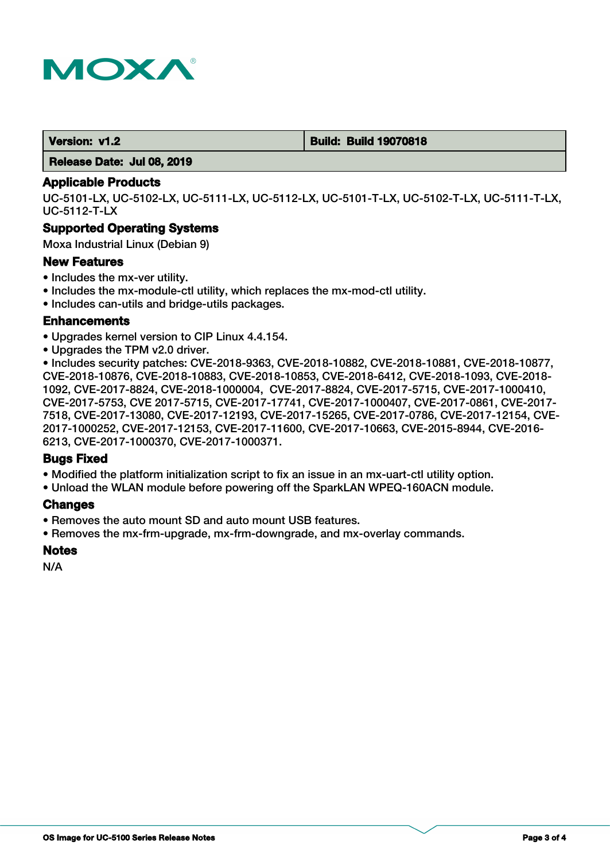

 **Version: v1.2 Build: Build 19070818**

 **Release Date: Jul 08, 2019**

### **Applicable Products**

UC-5101-LX, UC-5102-LX, UC-5111-LX, UC-5112-LX, UC-5101-T-LX, UC-5102-T-LX, UC-5111-T-LX, UC-5112-T-LX

# **Supported Operating Systems**

Moxa Industrial Linux (Debian 9)

#### **New Features**

- Includes the mx-ver utility.
- Includes the mx-module-ctl utility, which replaces the mx-mod-ctl utility.
- Includes can-utils and bridge-utils packages.

## **Enhancements**

- Upgrades kernel version to CIP Linux 4.4.154.
- Upgrades the TPM v2.0 driver.

• Includes security patches: CVE-2018-9363, CVE-2018-10882, CVE-2018-10881, CVE-2018-10877, CVE-2018-10876, CVE-2018-10883, CVE-2018-10853, CVE-2018-6412, CVE-2018-1093, CVE-2018- 1092, CVE-2017-8824, CVE-2018-1000004, CVE-2017-8824, CVE-2017-5715, CVE-2017-1000410, CVE-2017-5753, CVE 2017-5715, CVE-2017-17741, CVE-2017-1000407, CVE-2017-0861, CVE-2017- 7518, CVE-2017-13080, CVE-2017-12193, CVE-2017-15265, CVE-2017-0786, CVE-2017-12154, CVE-2017-1000252, CVE-2017-12153, CVE-2017-11600, CVE-2017-10663, CVE-2015-8944, CVE-2016- 6213, CVE-2017-1000370, CVE-2017-1000371.

## **Bugs Fixed**

- Modified the platform initialization script to fix an issue in an mx-uart-ctl utility option.
- Unload the WLAN module before powering off the SparkLAN WPEQ-160ACN module.

## **Changes**

- Removes the auto mount SD and auto mount USB features.
- Removes the mx-frm-upgrade, mx-frm-downgrade, and mx-overlay commands.

## **Notes**

N/A